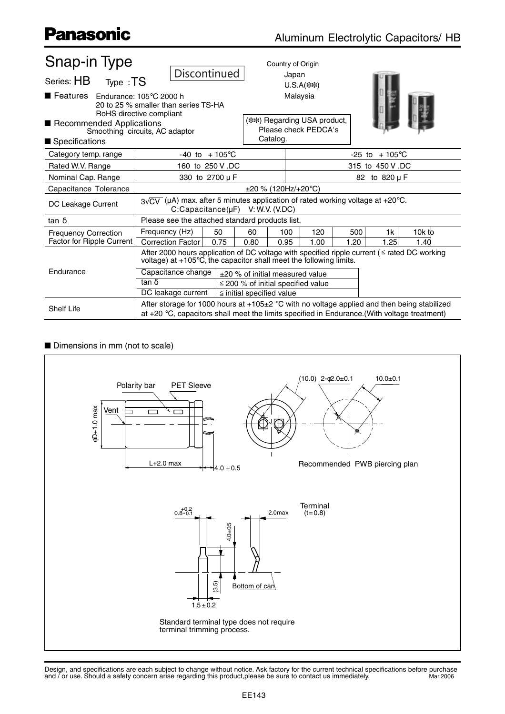| <b>Snap-in Type</b>              |                                                                                                                                                                                                   |                                         | Country of Origin                                     |      |      |        |  |  |
|----------------------------------|---------------------------------------------------------------------------------------------------------------------------------------------------------------------------------------------------|-----------------------------------------|-------------------------------------------------------|------|------|--------|--|--|
| Series: HB<br>Type : TS          | Discontinued                                                                                                                                                                                      |                                         | Japan                                                 |      |      |        |  |  |
|                                  |                                                                                                                                                                                                   |                                         | $U.S.A(***)$                                          |      |      |        |  |  |
| Features Endurance: 105°C 2000 h | 20 to 25 % smaller than series TS-HA<br>RoHS directive compliant                                                                                                                                  |                                         | Malaysia                                              |      |      |        |  |  |
| Recommended Applications         | Smoothing circuits, AC adaptor                                                                                                                                                                    | Catalog.                                | ( ** ) Regarding USA product,<br>Please check PEDCA's |      |      |        |  |  |
| Specifications                   |                                                                                                                                                                                                   |                                         |                                                       |      |      |        |  |  |
| Category temp. range             | $-40$ to $+105^{\circ}$ C                                                                                                                                                                         |                                         | $+105^{\circ}$ C<br>$-25$ to                          |      |      |        |  |  |
| Rated W.V. Range                 | 160 to 250 V .DC                                                                                                                                                                                  | 315 to 450 V.DC                         |                                                       |      |      |        |  |  |
| Nominal Cap. Range               | 330 to 2700 µ F                                                                                                                                                                                   | 82 to 820 µ F                           |                                                       |      |      |        |  |  |
| Capacitance Tolerance            |                                                                                                                                                                                                   |                                         | $\pm 20$ % (120Hz/+20°C)                              |      |      |        |  |  |
| DC Leakage Current               | $3\sqrt{CV}$ (µA) max. after 5 minutes application of rated working voltage at +20°C.<br>$C:Capacitance(\mu F)$ V: W.V. (V.DC)                                                                    |                                         |                                                       |      |      |        |  |  |
| $tan \delta$                     | Please see the attached standard products list.                                                                                                                                                   |                                         |                                                       |      |      |        |  |  |
| <b>Frequency Correction</b>      | Frequency (Hz)<br>50                                                                                                                                                                              | 60                                      | 100<br>120                                            | 500  | 1k   | 10k to |  |  |
| <b>Factor for Ripple Current</b> | <b>Correction Factor</b><br>0.75                                                                                                                                                                  | 0.80<br>0.95                            | 1.00                                                  | 1.20 | 1.25 | 1.40   |  |  |
|                                  | After 2000 hours application of DC voltage with specified ripple current ( $\leq$ rated DC working<br>voltage) at $+105^{\circ}$ C, the capacitor shall meet the following limits.                |                                         |                                                       |      |      |        |  |  |
| Endurance                        | Capacitance change                                                                                                                                                                                | ±20 % of initial measured value         |                                                       |      |      |        |  |  |
|                                  | tan $\overline{\delta}$                                                                                                                                                                           | $\leq$ 200 % of initial specified value |                                                       |      |      |        |  |  |
|                                  | DC leakage current                                                                                                                                                                                | $\le$ initial specified value           |                                                       |      |      |        |  |  |
| <b>Shelf Life</b>                | After storage for 1000 hours at $+105\pm2$ °C with no voltage applied and then being stabilized<br>at $+20$ °C, capacitors shall meet the limits specified in Endurance. (With voltage treatment) |                                         |                                                       |      |      |        |  |  |

#### **n** Dimensions in mm (not to scale)



Design, and specifications are each subject to change without notice. Ask factory for the current technical specifications before purchase<br>and / or use. Should a safety concern arise regarding this product,please be sure t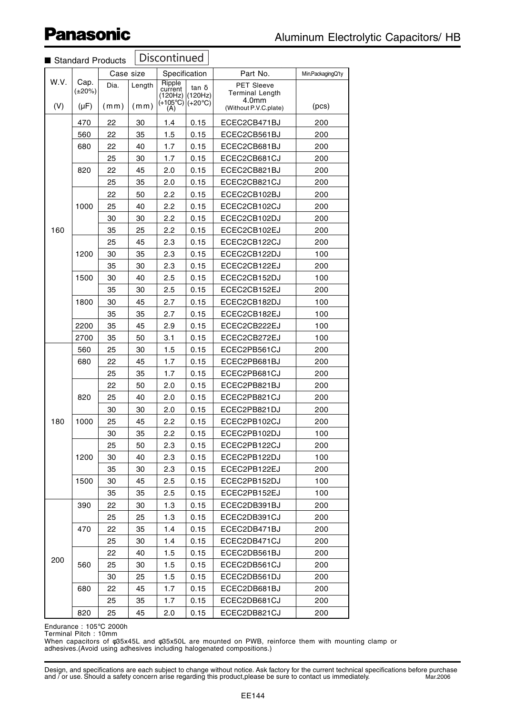| <b>Discontinued</b><br>Standard Products |                              |              |                |                                                         |                                             |                                                                        |                   |
|------------------------------------------|------------------------------|--------------|----------------|---------------------------------------------------------|---------------------------------------------|------------------------------------------------------------------------|-------------------|
|                                          |                              | Case size    |                | Specification                                           |                                             | Part No.                                                               | Min.PackagingQ'ty |
| W.V.<br>(V)                              | Cap.<br>$(\pm 20\%)$<br>(µF) | Dia.<br>(mm) | Length<br>(mm) | Ripple<br>current<br>(120Hz)<br>$(+105^{\circ}C)$<br>A) | $tan \delta$<br>(120Hz)<br>$(+20^{\circ}C)$ | PET Sleeve<br><b>Terminal Length</b><br>4.0mm<br>(Without P.V.C.plate) | (pcs)             |
|                                          | 470                          | 22           | 30             | 1.4                                                     | 0.15                                        | ECEC2CB471BJ                                                           | 200               |
|                                          | 560                          | 22           | 35             | 1.5                                                     | 0.15                                        | ECEC2CB561BJ                                                           | 200               |
|                                          | 680                          | 22           | 40             | 1.7                                                     | 0.15                                        | ECEC2CB681BJ                                                           | 200               |
|                                          |                              | 25           | 30             | 1.7                                                     | 0.15                                        | ECEC2CB681CJ                                                           | 200               |
|                                          | 820                          | 22           | 45             | 2.0                                                     | 0.15                                        | ECEC2CB821BJ                                                           | 200               |
|                                          |                              | 25           | 35             | 2.0                                                     | 0.15                                        | ECEC2CB821CJ                                                           | 200               |
|                                          |                              | 22           | 50             | 2.2                                                     | 0.15                                        | ECEC2CB102BJ                                                           | 200               |
|                                          | 1000                         | 25           | 40             | 2.2                                                     | 0.15                                        | ECEC2CB102CJ                                                           | 200               |
|                                          |                              | 30           | 30             | 2.2                                                     | 0.15                                        | ECEC2CB102DJ                                                           | 200               |
| 160                                      |                              | 35           | 25             | 2.2                                                     | 0.15                                        | ECEC2CB102EJ                                                           | 200               |
|                                          |                              | 25           | 45             | 2.3                                                     | 0.15                                        | ECEC2CB122CJ                                                           | 200               |
|                                          | 1200                         | 30           | 35             | 2.3                                                     | 0.15                                        | ECEC2CB122DJ                                                           | 100               |
|                                          |                              | 35           | 30             | 2.3                                                     | 0.15                                        | ECEC2CB122EJ                                                           | 200               |
|                                          | 1500                         | 30           | 40             | 2.5                                                     | 0.15                                        | ECEC2CB152DJ                                                           | 100               |
|                                          |                              | 35           | 30             | 2.5                                                     | 0.15                                        | ECEC2CB152EJ                                                           | 200               |
|                                          | 1800                         | 30           | 45             | 2.7                                                     | 0.15                                        | ECEC2CB182DJ                                                           | 100               |
|                                          |                              | 35           | 35             | 2.7                                                     | 0.15                                        | ECEC2CB182EJ                                                           | 100               |
|                                          | 2200                         | 35           | 45             | 2.9                                                     | 0.15                                        | ECEC2CB222EJ                                                           | 100               |
|                                          | 2700                         | 35           | 50             | 3.1                                                     | 0.15                                        | ECEC2CB272EJ                                                           | 100               |
|                                          | 560                          | 25           | 30             | 1.5                                                     | 0.15                                        | ECEC2PB561CJ                                                           | 200               |
|                                          | 680                          | 22           | 45             | 1.7                                                     | 0.15                                        | ECEC2PB681BJ                                                           | 200               |
|                                          | 820                          | 25           | 35             | 1.7                                                     | 0.15                                        | ECEC2PB681CJ                                                           | 200               |
|                                          |                              | 22           | 50             | 2.0                                                     | 0.15                                        | ECEC2PB821BJ                                                           | 200               |
|                                          |                              | 25           | 40             | 2.0                                                     | 0.15                                        | ECEC2PB821CJ                                                           | 200               |
|                                          | 1000                         | 30           | 30             | 2.0                                                     | 0.15                                        | ECEC2PB821DJ                                                           | 200               |
| 180                                      |                              | 25           | 45             | 2.2                                                     | 0.15                                        | ECEC2PB102CJ                                                           | 200               |
|                                          |                              | 30           | 35             | 2.2                                                     | 0.15                                        | ECEC2PB102DJ                                                           | 100               |
|                                          | 1200<br>1500                 | 25           | 50             | 2.3                                                     | 0.15                                        | ECEC2PB122CJ                                                           | 200               |
|                                          |                              | 30           | 40             | 2.3                                                     | 0.15                                        | ECEC2PB122DJ                                                           | 100               |
|                                          |                              | 35           | 30             | 2.3                                                     | 0.15                                        | ECEC2PB122EJ                                                           | 200               |
|                                          |                              | 30           | 45<br>35       | 2.5                                                     | 0.15                                        | ECEC2PB152DJ                                                           | 100<br>100        |
|                                          | 390                          | 35<br>22     | 30             | 2.5                                                     | 0.15                                        | ECEC2PB152EJ<br>ECEC2DB391BJ                                           | 200               |
| 200                                      |                              | 25           | 25             | 1.3<br>1.3                                              | 0.15<br>0.15                                | ECEC2DB391CJ                                                           | 200               |
|                                          | 470                          | 22           | 35             | 1.4                                                     | 0.15                                        | ECEC2DB471BJ                                                           | 200               |
|                                          |                              | 25           | 30             | 1.4                                                     | 0.15                                        | ECEC2DB471CJ                                                           | 200               |
|                                          |                              | 22           | 40             | 1.5                                                     | 0.15                                        | ECEC2DB561BJ                                                           | 200               |
|                                          | 560                          | 25           | 30             | 1.5                                                     | 0.15                                        | ECEC2DB561CJ                                                           | 200               |
|                                          |                              | 30           | 25             | 1.5                                                     | 0.15                                        | ECEC2DB561DJ                                                           | 200               |
|                                          | 680                          | 22           | 45             | 1.7                                                     | 0.15                                        | ECEC2DB681BJ                                                           | 200               |
|                                          |                              | 25           | 35             | 1.7                                                     | 0.15                                        | ECEC2DB681CJ                                                           | 200               |
|                                          | 820                          | 25           | 45             | 2.0                                                     | 0.15                                        | ECEC2DB821CJ                                                           | 200               |
|                                          |                              |              |                |                                                         |                                             |                                                                        |                   |

Endurance : 105°C 2000h Terminal Pitch : 10mm

When capacitors of φ35x45L and φ35x50L are mounted on PWB, reinforce them with mounting clamp or adhesives.(Avoid using adhesives including halogenated compositions.)

Design, and specifications are each subject to change without notice. Ask factory for the current technical specifications before purchase and / or use. Should a safety concern arise regarding this product,please be sure to contact us immediately. Mar.2006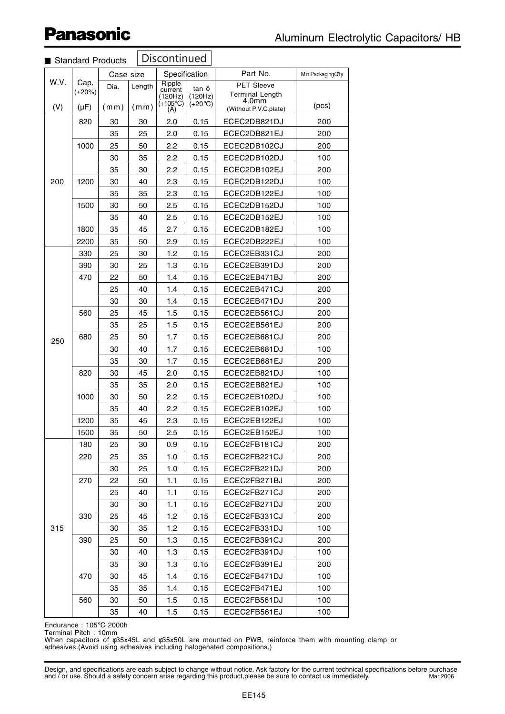| Standard Products |                      |           | Discontinued |                                                   |                                              |                                               |                     |
|-------------------|----------------------|-----------|--------------|---------------------------------------------------|----------------------------------------------|-----------------------------------------------|---------------------|
|                   |                      | Case size |              | Specification                                     |                                              | Part No.                                      | Min. Packaging Q'ty |
| W.V.              | Cap.<br>$(\pm 20\%)$ | Dia.      | Length       | Ripple<br>current<br>(120Hz)<br>$(+105^{\circ}C)$ | $\tan \delta$<br>(120Hz)<br>$(+20^{\circ}C)$ | PET Sleeve<br><b>Terminal Length</b><br>4.0mm | (pcs)               |
| (V)               | $(\mu F)$            | (mm)      | (mm)         | (A)                                               |                                              | (Without P.V.C.plate)                         |                     |
|                   | 820                  | 30        | 30           | 2.0                                               | 0.15                                         | ECEC2DB821DJ                                  | 200                 |
|                   |                      | 35        | 25           | 2.0                                               | 0.15                                         | ECEC2DB821EJ                                  | 200                 |
|                   | 1000                 | 25        | 50           | 2.2                                               | 0.15                                         | ECEC2DB102CJ                                  | 200                 |
|                   |                      | 30        | 35           | 2.2                                               | 0.15                                         | ECEC2DB102DJ                                  | 100                 |
|                   |                      | 35        | 30           | 2.2                                               | 0.15                                         | ECEC2DB102EJ                                  | 200                 |
| 200               | 1200                 | 30        | 40           | 2.3                                               | 0.15                                         | ECEC2DB122DJ                                  | 100                 |
|                   |                      | 35        | 35           | 2.3                                               | 0.15                                         | ECEC2DB122EJ                                  | 100                 |
|                   | 1500                 | 30        | 50           | 2.5                                               | 0.15                                         | ECEC2DB152DJ                                  | 100                 |
|                   |                      | 35        | 40           | 2.5                                               | 0.15                                         | ECEC2DB152EJ                                  | 100                 |
|                   | 1800                 | 35        | 45           | 2.7                                               | 0.15                                         | ECEC2DB182EJ                                  | 100                 |
|                   | 2200                 | 35        | 50           | 2.9                                               | 0.15                                         | ECEC2DB222EJ                                  | 100                 |
|                   | 330                  | 25        | 30           | 1.2                                               | 0.15                                         | ECEC2EB331CJ                                  | 200                 |
|                   | 390                  | 30        | 25           | 1.3                                               | 0.15                                         | ECEC2EB391DJ                                  | 200                 |
|                   | 470                  | 22        | 50           | 1.4                                               | 0.15                                         | ECEC2EB471BJ                                  | 200                 |
|                   |                      | 25        | 40           | 1.4                                               | 0.15                                         | ECEC2EB471CJ                                  | 200                 |
|                   |                      | 30        | 30           | 1.4                                               | 0.15                                         | ECEC2EB471DJ                                  | 200                 |
|                   | 560                  | 25        | 45           | 1.5                                               | 0.15                                         | ECEC2EB561CJ                                  | 200                 |
|                   |                      | 35        | 25           | 1.5                                               | 0.15                                         | ECEC2EB561EJ                                  | 200                 |
| 250               | 680                  | 25        | 50           | 1.7                                               | 0.15                                         | ECEC2EB681CJ                                  | 200                 |
|                   |                      | 30        | 40           | 1.7                                               | 0.15                                         | ECEC2EB681DJ                                  | 100                 |
|                   |                      | 35        | 30           | 1.7                                               | 0.15                                         | ECEC2EB681EJ                                  | 200                 |
|                   | 820                  | 30        | 45           | 2.0                                               | 0.15                                         | ECEC2EB821DJ                                  | 100                 |
|                   |                      | 35        | 35           | 2.0                                               | 0.15                                         | ECEC2EB821EJ                                  | 100                 |
|                   | 1000                 | 30        | 50           | 2.2                                               | 0.15                                         | ECEC2EB102DJ                                  | 100                 |
|                   |                      | 35        | 40           | 2.2                                               | 0.15                                         | ECEC2EB102EJ                                  | 100                 |
|                   | 1200                 | 35        | 45           | 2.3                                               | 0.15                                         | ECEC2EB122EJ                                  | 100                 |
|                   | 1500                 | 35        | 50           | 2.5                                               | 0.15                                         | ECEC2EB152EJ                                  | 100                 |
|                   | 180                  | 25        | 30           | 0.9                                               | 0.15                                         | ECEC2FB181CJ                                  | 200                 |
|                   | 220                  | 25        | 35           | 1.0                                               | 0.15                                         | ECEC2FB221CJ                                  | 200                 |
|                   |                      | 30        | 25           | 1.0                                               | 0.15                                         | ECEC2FB221DJ                                  | 200                 |
|                   | 270                  | 22        | 50           | 1.1                                               | 0.15                                         | ECEC2FB271BJ                                  | 200                 |
|                   |                      | 25        | 40           | 1.1                                               | 0.15                                         | ECEC2FB271CJ                                  | 200                 |
| 315               |                      | 30        | 30           | 1.1                                               | 0.15                                         | ECEC2FB271DJ                                  | 200                 |
|                   | 330                  | 25        | 45           | 1.2                                               | 0.15                                         | ECEC2FB331CJ                                  | 200                 |
|                   |                      | 30        | 35           | 1.2                                               | 0.15                                         | ECEC2FB331DJ                                  | 100                 |
|                   | 390                  | 25        | 50           | 1.3                                               | 0.15                                         | ECEC2FB391CJ                                  | 200                 |
|                   |                      | 30        | 40           | 1.3                                               | 0.15                                         | ECEC2FB391DJ                                  | 100                 |
|                   |                      | 35        | 30           | 1.3                                               | 0.15                                         | ECEC2FB391EJ                                  | 200                 |
|                   | 470                  | 30        | 45           | 1.4                                               | 0.15                                         | ECEC2FB471DJ                                  | 100                 |
|                   |                      | 35        | 35           | 1.4                                               | 0.15                                         | ECEC2FB471EJ                                  | 100                 |
|                   | 560                  | 30        | 50           | 1.5                                               | 0.15                                         | ECEC2FB561DJ                                  | 100                 |
|                   |                      | 35        | 40           | 1.5                                               | 0.15                                         | ECEC2FB561EJ                                  | 100                 |

Endurance : 105°C 2000h

Terminal Pitch : 10mm

When capacitors of φ35x45L and φ35x50L are mounted on PWB, reinforce them with mounting clamp or adhesives.(Avoid using adhesives including halogenated compositions.)

Design, and specifications are each subject to change without notice. Ask factory for the current technical specifications before purchase<br>and / or use. Should a safety concern arise regarding this product,please be sure t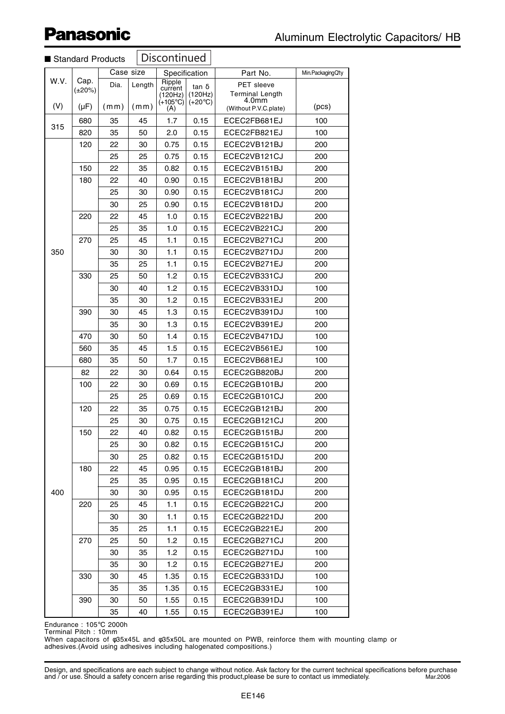|      | <b>UlaHuaTu TTUUUU</b> |      |        |                              |                  |                                                      |       |
|------|------------------------|------|--------|------------------------------|------------------|------------------------------------------------------|-------|
|      | Case size              |      |        | Specification                | Part No.         | Min.PackagingQ'ty                                    |       |
| W.V. | Cap.<br>$(\pm 20\%)$   | Dia. | Length | Ripple<br>current<br>(120Hz) | tan δ<br>(120Hz) | <b>PET</b> sleeve<br><b>Terminal Length</b><br>4.0mm |       |
| (V)  | $(\mu F)$              | (mm) | (mm)   | $(+105^{\circ}C)$<br>(A)     | $(+20^{\circ}C)$ | (Without P.V.C.plate)                                | (pcs) |
|      | 680                    | 35   | 45     | 1.7                          | 0.15             | ECEC2FB681EJ                                         | 100   |
| 315  | 820                    | 35   | 50     | 2.0                          | 0.15             | ECEC2FB821EJ                                         | 100   |
|      | 120                    | 22   | 30     | 0.75                         | 0.15             | ECEC2VB121BJ                                         | 200   |
|      |                        | 25   | 25     | 0.75                         | 0.15             | ECEC2VB121CJ                                         | 200   |
|      | 150                    | 22   | 35     | 0.82                         | 0.15             | ECEC2VB151BJ                                         | 200   |
|      | 180                    | 22   | 40     | 0.90                         | 0.15             | ECEC2VB181BJ                                         | 200   |
|      |                        | 25   | 30     | 0.90                         | 0.15             | ECEC2VB181CJ                                         | 200   |
|      |                        | 30   | 25     | 0.90                         | 0.15             | ECEC2VB181DJ                                         | 200   |
|      | 220                    | 22   | 45     | 1.0                          | 0.15             | ECEC2VB221BJ                                         | 200   |
|      |                        | 25   | 35     | 1.0                          | 0.15             | ECEC2VB221CJ                                         | 200   |
|      | 270                    | 25   | 45     | 1.1                          | 0.15             | ECEC2VB271CJ                                         | 200   |
| 350  |                        | 30   | 30     | 1.1                          | 0.15             | ECEC2VB271DJ                                         | 200   |
|      |                        | 35   | 25     | 1.1                          | 0.15             | ECEC2VB271EJ                                         | 200   |
|      | 330                    | 25   | 50     | 1.2                          | 0.15             | ECEC2VB331CJ                                         | 200   |
|      |                        | 30   | 40     | 1.2                          | 0.15             | ECEC2VB331DJ                                         | 100   |
|      |                        | 35   | 30     | 1.2                          | 0.15             | ECEC2VB331EJ                                         | 200   |
|      | 390                    | 30   | 45     | 1.3                          | 0.15             | ECEC2VB391DJ                                         | 100   |
|      |                        | 35   | 30     | 1.3                          | 0.15             | ECEC2VB391EJ                                         | 200   |
|      | 470                    | 30   | 50     | 1.4                          | 0.15             | ECEC2VB471DJ                                         | 100   |
|      | 560                    | 35   | 45     | 1.5                          | 0.15             | ECEC2VB561EJ                                         | 100   |
|      | 680                    | 35   | 50     | 1.7                          | 0.15             | ECEC2VB681EJ                                         | 100   |
|      | 82                     | 22   | 30     | 0.64                         | 0.15             | ECEC2GB820BJ                                         | 200   |
|      | 100                    | 22   | 30     | 0.69                         | 0.15             | ECEC2GB101BJ                                         | 200   |
|      |                        | 25   | 25     | 0.69                         | 0.15             | ECEC2GB101CJ                                         | 200   |
|      | 120                    | 22   | 35     | 0.75                         | 0.15             | ECEC2GB121BJ                                         | 200   |
|      |                        | 25   | 30     | 0.75                         | 0.15             | ECEC2GB121CJ                                         | 200   |
|      | 150                    | 22   | 40     | 0.82                         | 0.15             | ECEC2GB151BJ                                         | 200   |
|      |                        | 25   | 30     | 0.82                         | 0.15             | ECEC2GB151CJ                                         | 200   |
|      |                        | 30   | 25     | 0.82                         | 0.15             | ECEC2GB151DJ                                         | 200   |
|      | 180                    | 22   | 45     | 0.95                         | 0.15             | ECEC2GB181BJ                                         | 200   |
|      |                        | 25   | 35     | 0.95                         | 0.15             | ECEC2GB181CJ                                         | 200   |
| 400  |                        | 30   | 30     | 0.95                         | 0.15             | ECEC2GB181DJ                                         | 200   |
|      | 220                    | 25   | 45     | 1.1                          | 0.15             | ECEC2GB221CJ                                         | 200   |
|      |                        | 30   | 30     | 1.1                          | 0.15             | ECEC2GB221DJ                                         | 200   |
|      |                        | 35   | 25     | 1.1                          | 0.15             | ECEC2GB221EJ                                         | 200   |
|      | 270                    | 25   | 50     | 1.2                          | 0.15             | ECEC2GB271CJ                                         | 200   |
|      |                        | 30   | 35     | 1.2                          | 0.15             | ECEC2GB271DJ                                         | 100   |
|      |                        | 35   | 30     | 1.2                          | 0.15             | ECEC2GB271EJ                                         | 200   |
|      | 330                    | 30   | 45     | 1.35                         | 0.15             | ECEC2GB331DJ                                         | 100   |
|      |                        | 35   | 35     | 1.35                         | 0.15             | ECEC2GB331EJ                                         | 100   |
|      | 390                    | 30   | 50     | 1.55                         | 0.15             | ECEC2GB391DJ                                         | 100   |
|      |                        | 35   | 40     | 1.55                         | 0.15             | ECEC2GB391EJ                                         | 100   |

#### **Discontinued** ■ Standard Products

Endurance : 105°C 2000h

Terminal Pitch : 10mm

When capacitors of φ35x45L and φ35x50L are mounted on PWB, reinforce them with mounting clamp or adhesives.(Avoid using adhesives including halogenated compositions.)

Design, and specifications are each subject to change without notice. Ask factory for the current technical specifications before purchase and / or use. Should a safety concern arise regarding this product,please be sure to contact us immediately. Mar.2006